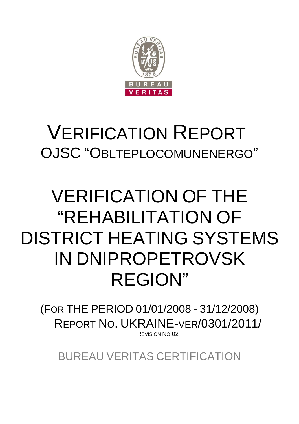

## VERIFICATION REPORT OJSC "OBLTEPLOCOMUNENERGO"

# VERIFICATION OF THE "REHABILITATION OF DISTRICT HEATING SYSTEMS IN DNIPROPETROVSK REGION"

(FOR THE PERIOD 01/01/2008 - 31/12/2008) REPORT NO. UKRAINE-VER/0301/2011/ REVISION NO 02

BUREAU VERITAS CERTIFICATION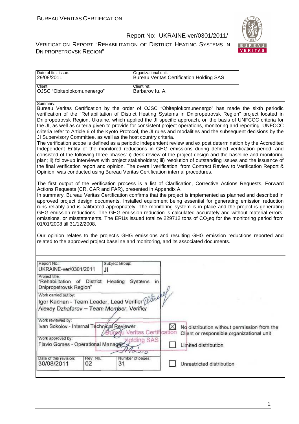VERIFICATION REPORT "REHABILITATION OF DISTRICT HEATING SYSTEMS IN DNIPROPETROVSK REGION"



| 29/08/2011<br>Client:                                                                                                                                                      | Organizational unit:                                                                                                                                                                                                                                                                                                                                                                                                                                                                                                                                                                                                                                                                                                                                                                                                                                                                                                                                                                                                                                                                                                                                                                                                                                                                                                                                                                                                                                                                                                                                                                                                                                                                                                                                                                                                                                                                                                                                             |
|----------------------------------------------------------------------------------------------------------------------------------------------------------------------------|------------------------------------------------------------------------------------------------------------------------------------------------------------------------------------------------------------------------------------------------------------------------------------------------------------------------------------------------------------------------------------------------------------------------------------------------------------------------------------------------------------------------------------------------------------------------------------------------------------------------------------------------------------------------------------------------------------------------------------------------------------------------------------------------------------------------------------------------------------------------------------------------------------------------------------------------------------------------------------------------------------------------------------------------------------------------------------------------------------------------------------------------------------------------------------------------------------------------------------------------------------------------------------------------------------------------------------------------------------------------------------------------------------------------------------------------------------------------------------------------------------------------------------------------------------------------------------------------------------------------------------------------------------------------------------------------------------------------------------------------------------------------------------------------------------------------------------------------------------------------------------------------------------------------------------------------------------------|
|                                                                                                                                                                            | <b>Bureau Veritas Certification Holding SAS</b>                                                                                                                                                                                                                                                                                                                                                                                                                                                                                                                                                                                                                                                                                                                                                                                                                                                                                                                                                                                                                                                                                                                                                                                                                                                                                                                                                                                                                                                                                                                                                                                                                                                                                                                                                                                                                                                                                                                  |
| OJSC "Oblteplokomunenergo"                                                                                                                                                 | Client ref.:<br>Barbarov lu. A.                                                                                                                                                                                                                                                                                                                                                                                                                                                                                                                                                                                                                                                                                                                                                                                                                                                                                                                                                                                                                                                                                                                                                                                                                                                                                                                                                                                                                                                                                                                                                                                                                                                                                                                                                                                                                                                                                                                                  |
| Summarv:<br>JI Supervisory Committee, as well as the host country criteria.<br>Actions Requests (CR, CAR and FAR), presented in Appendix A.<br>01/01/2008 till 31/12/2008. | Bureau Veritas Certification by the order of OJSC "Oblteplokomunenergo" has made the sixth periodic<br>verification of the "Rehabilitation of District Heating Systems in Dnipropetrovsk Region" project located in<br>Dnipropetrovsk Region, Ukraine, which applied the JI specific approach, on the basis of UNFCCC criteria for<br>the JI, as well as criteria given to provide for consistent project operations, monitoring and reporting. UNFCCC<br>criteria refer to Article 6 of the Kyoto Protocol, the JI rules and modalities and the subsequent decisions by the<br>The verification scope is defined as a periodic independent review and ex post determination by the Accredited<br>Independent Entity of the monitored reductions in GHG emissions during defined verification period, and<br>consisted of the following three phases: i) desk review of the project design and the baseline and monitoring<br>plan; ii) follow-up interviews with project stakeholders; iii) resolution of outstanding issues and the issuance of<br>the final verification report and opinion. The overall verification, from Contract Review to Verification Report &<br>Opinion, was conducted using Bureau Veritas Certification internal procedures.<br>The first output of the verification process is a list of Clarification, Corrective Actions Requests, Forward<br>In summary, Bureau Veritas Certification confirms that the project is implemented as planned and described in<br>approved project design documents. Installed equipment being essential for generating emission reduction<br>runs reliably and is calibrated appropriately. The monitoring system is in place and the project is generating<br>GHG emission reductions. The GHG emission reduction is calculated accurately and without material errors,<br>omissions, or misstatements. The ERUs issued totalize 229712 tons of CO <sub>2</sub> eq for the monitoring period from |
|                                                                                                                                                                            |                                                                                                                                                                                                                                                                                                                                                                                                                                                                                                                                                                                                                                                                                                                                                                                                                                                                                                                                                                                                                                                                                                                                                                                                                                                                                                                                                                                                                                                                                                                                                                                                                                                                                                                                                                                                                                                                                                                                                                  |
|                                                                                                                                                                            | Our opinion relates to the project's GHG emissions and resulting GHG emission reductions reported and<br>related to the approved project baseline and monitoring, and its associated documents.                                                                                                                                                                                                                                                                                                                                                                                                                                                                                                                                                                                                                                                                                                                                                                                                                                                                                                                                                                                                                                                                                                                                                                                                                                                                                                                                                                                                                                                                                                                                                                                                                                                                                                                                                                  |
| Report No.:<br>Subject Group:<br>UKRAINE-ver/0301/2011<br>JI                                                                                                               |                                                                                                                                                                                                                                                                                                                                                                                                                                                                                                                                                                                                                                                                                                                                                                                                                                                                                                                                                                                                                                                                                                                                                                                                                                                                                                                                                                                                                                                                                                                                                                                                                                                                                                                                                                                                                                                                                                                                                                  |
| Project title:<br>"Rehabilitation of District<br>Heating<br>Dnipropetrovsk Region"                                                                                         | Systems<br>in                                                                                                                                                                                                                                                                                                                                                                                                                                                                                                                                                                                                                                                                                                                                                                                                                                                                                                                                                                                                                                                                                                                                                                                                                                                                                                                                                                                                                                                                                                                                                                                                                                                                                                                                                                                                                                                                                                                                                    |
| Work carried out by:                                                                                                                                                       |                                                                                                                                                                                                                                                                                                                                                                                                                                                                                                                                                                                                                                                                                                                                                                                                                                                                                                                                                                                                                                                                                                                                                                                                                                                                                                                                                                                                                                                                                                                                                                                                                                                                                                                                                                                                                                                                                                                                                                  |
| Igor Kachan - Team Leader, Lead Verifier Wall<br>Alexey Dzhafarov - Team Member, Verifier                                                                                  |                                                                                                                                                                                                                                                                                                                                                                                                                                                                                                                                                                                                                                                                                                                                                                                                                                                                                                                                                                                                                                                                                                                                                                                                                                                                                                                                                                                                                                                                                                                                                                                                                                                                                                                                                                                                                                                                                                                                                                  |
|                                                                                                                                                                            |                                                                                                                                                                                                                                                                                                                                                                                                                                                                                                                                                                                                                                                                                                                                                                                                                                                                                                                                                                                                                                                                                                                                                                                                                                                                                                                                                                                                                                                                                                                                                                                                                                                                                                                                                                                                                                                                                                                                                                  |
| Work reviewed by:<br>Ivan Sokolov - Internal Technical Reviewer                                                                                                            | $\boxtimes$<br>No distribution without permission from the<br>reau Veritas Certification<br>Client or responsible organizational unit                                                                                                                                                                                                                                                                                                                                                                                                                                                                                                                                                                                                                                                                                                                                                                                                                                                                                                                                                                                                                                                                                                                                                                                                                                                                                                                                                                                                                                                                                                                                                                                                                                                                                                                                                                                                                            |
| Work approved by:                                                                                                                                                          |                                                                                                                                                                                                                                                                                                                                                                                                                                                                                                                                                                                                                                                                                                                                                                                                                                                                                                                                                                                                                                                                                                                                                                                                                                                                                                                                                                                                                                                                                                                                                                                                                                                                                                                                                                                                                                                                                                                                                                  |
| Flavio Gomes - Operational Manager                                                                                                                                         | <b>Molding SAS</b><br>Limited distribution<br>$20 - 10$                                                                                                                                                                                                                                                                                                                                                                                                                                                                                                                                                                                                                                                                                                                                                                                                                                                                                                                                                                                                                                                                                                                                                                                                                                                                                                                                                                                                                                                                                                                                                                                                                                                                                                                                                                                                                                                                                                          |

1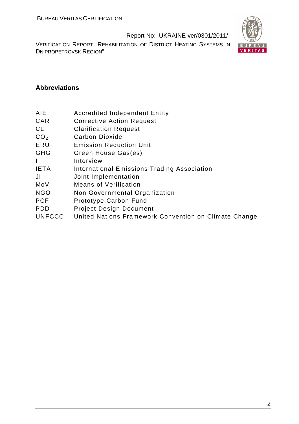VERIFICATION REPORT "REHABILITATION OF DISTRICT HEATING SYSTEMS IN DNIPROPETROVSK REGION"



### **Abbreviations**

- AIE Accredited Independent Entity
- CAR Corrective Action Request
- CL Clarification Request
- CO<sub>2</sub> Carbon Dioxide
- ERU Emission Reduction Unit
- GHG Green House Gas(es)
- I Interview
- IETA International Emissions Trading Association
- JI Joint Implementation
- MoV Means of Verification
- NGO Non Governmental Organization
- PCF Prototype Carbon Fund
- PDD Project Design Document
- UNFCCC United Nations Framework Convention on Climate Change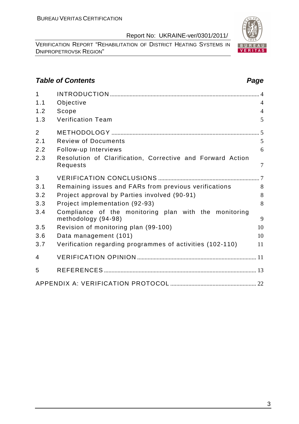VERIFICATION REPORT "REHABILITATION OF DISTRICT HEATING SYSTEMS IN DNIPROPETROVSK REGION"

## **Table of Contents Page 2014**

| $\mathbf{1}$   |                                                                              |                |
|----------------|------------------------------------------------------------------------------|----------------|
| 1.1            | Objective                                                                    | $\overline{4}$ |
| 1.2            | Scope                                                                        | $\overline{4}$ |
| 1.3            | <b>Verification Team</b>                                                     | 5              |
| $\overline{2}$ |                                                                              |                |
| 2.1            | <b>Review of Documents</b>                                                   | 5              |
| 2.2            | Follow-up Interviews                                                         | 6              |
| 2.3            | Resolution of Clarification, Corrective and Forward Action<br>Requests       | $\overline{7}$ |
| 3              |                                                                              |                |
| 3.1            | Remaining issues and FARs from previous verifications                        | 8              |
| 3.2            | Project approval by Parties involved (90-91)                                 | 8              |
| 3.3            | Project implementation (92-93)                                               | 8              |
| 3.4            | Compliance of the monitoring plan with the monitoring<br>methodology (94-98) | 9              |
| 3.5            | Revision of monitoring plan (99-100)                                         | 10             |
| 3.6            | Data management (101)                                                        | 10             |
| 3.7            | Verification regarding programmes of activities (102-110)                    | 11             |
| 4              |                                                                              |                |
| 5              |                                                                              |                |
|                |                                                                              |                |

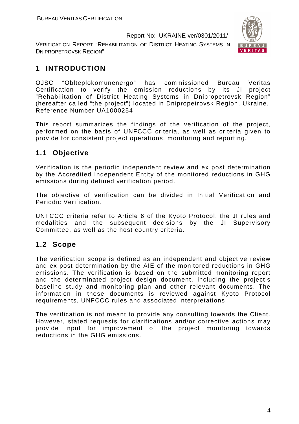VERIFICATION REPORT "REHABILITATION OF DISTRICT HEATING SYSTEMS IN DNIPROPETROVSK REGION"



## **1 INTRODUCTION**

OJSC "Oblteplokomunenergo" has commissioned Bureau Veritas Certification to verify the emission reductions by its JI project "Rehabilitation of District Heating Systems in Dnipropetrovsk Region" (hereafter called "the project") located in Dnipropetrovsk Region, Ukraine. Reference Number UA1000254.

This report summarizes the findings of the verification of the project, performed on the basis of UNFCCC criteria, as well as criteria given to provide for consistent project operations, monitoring and reporting.

## **1.1 Objective**

Verification is the periodic independent review and ex post determination by the Accredited Independent Entity of the monitored reductions in GHG emissions during defined verification period.

The objective of verification can be divided in Initial Verification and Periodic Verification.

UNFCCC criteria refer to Article 6 of the Kyoto Protocol, the JI rules and modalities and the subsequent decisions by the JI Supervisory Committee, as well as the host country criteria.

## **1.2 Scope**

The verification scope is defined as an independent and objective review and ex post determination by the AIE of the monitored reductions in GHG emissions. The verification is based on the submitted monitoring report and the determinated project design document, including the project's baseline study and monitoring plan and other relevant documents. The information in these documents is reviewed against Kyoto Protocol requirements, UNFCCC rules and associated interpretations.

The verification is not meant to provide any consulting towards the Client. However, stated requests for clarifications and/or corrective actions may provide input for improvement of the project monitoring towards reductions in the GHG emissions.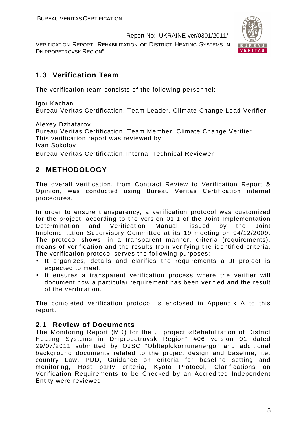VERIFICATION REPORT "REHABILITATION OF DISTRICT HEATING SYSTEMS IN DNIPROPETROVSK REGION"



## **1.3 Verification Team**

The verification team consists of the following personnel:

Igor Kachan Bureau Veritas Certification, Team Leader, Climate Change Lead Verifier

Alexey Dzhafarov

Bureau Veritas Certification, Team Member, Climate Change Verifier This verification report was reviewed by: Ivan Sokolov

Bureau Veritas Certification, Internal Technical Reviewer

## **2 METHODOLOGY**

The overall verification, from Contract Review to Verification Report & Opinion, was conducted using Bureau Veritas Certification internal procedures.

In order to ensure transparency, a verification protocol was customized for the project, according to the version 01.1 of the Joint Implementation Determination and Verification Manual, issued by the Joint Implementation Supervisory Committee at its 19 meeting on 04/12/2009. The protocol shows, in a transparent manner, criteria (requirements), means of verification and the results from verifying the identified criteria. The verification protocol serves the following purposes:

- It organizes, details and clarifies the requirements a JI project is expected to meet;
- It ensures a transparent verification process where the verifier will document how a particular requirement has been verified and the result of the verification.

The completed verification protocol is enclosed in Appendix A to this report.

## **2.1 Review of Documents**

The Monitoring Report (MR) for the JI project «Rehabilitation of District Heating Systems in Dnipropetrovsk Region" #06 version 01 dated 29/07/2011 submitted by OJSC "Oblteplokomunenergo" and additional background documents related to the project design and baseline, i.e. country Law, PDD, Guidance on criteria for baseline setting and monitoring, Host party criteria, Kyoto Protocol, Clarifications on Verification Requirements to be Checked by an Accredited Independent Entity were reviewed.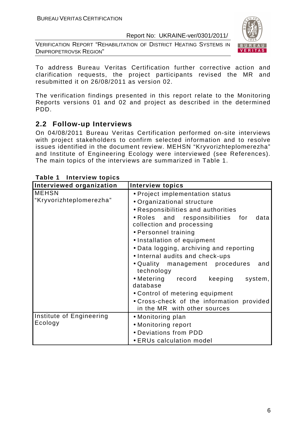VERIFICATION REPORT "REHABILITATION OF DISTRICT HEATING SYSTEMS IN DNIPROPETROVSK REGION"



To address Bureau Veritas Certification further corrective action and clarification requests, the project participants revised the MR and resubmitted it on 26/08/2011 as version 02.

The verification findings presented in this report relate to the Monitoring Reports versions 01 and 02 and project as described in the determined PDD.

## **2.2 Follow-up Interviews**

On 04/08/2011 Bureau Veritas Certification performed on-site interviews with project stakeholders to confirm selected information and to resolve issues identified in the document review. MEHSN "Kryvorizhteplomerezha" and Institute of Engineering Ecology were interviewed (see References). The main topics of the interviews are summarized in Table 1.

| Interviewed organization                | <b>Interview topics</b>                                                                                                                                                                                                                                                        |
|-----------------------------------------|--------------------------------------------------------------------------------------------------------------------------------------------------------------------------------------------------------------------------------------------------------------------------------|
| <b>MEHSN</b><br>"Kryvorizhteplomerezha" | • Project implementation status<br>• Organizational structure<br>• Responsibilities and authorities<br>. Roles and responsibilities for<br>data<br>collection and processing<br>• Personnel training<br>• Installation of equipment<br>• Data logging, archiving and reporting |
|                                         | • Internal audits and check-ups<br>• Quality management procedures<br>and<br>technology<br>• Metering record keeping<br>system,<br>database                                                                                                                                    |
|                                         | • Control of metering equipment<br>• Cross-check of the information provided<br>in the MR with other sources                                                                                                                                                                   |
| Institute of Engineering<br>Ecology     | • Monitoring plan<br>• Monitoring report<br>• Deviations from PDD<br>• ERUs calculation model                                                                                                                                                                                  |

#### **Table 1 Interview topics**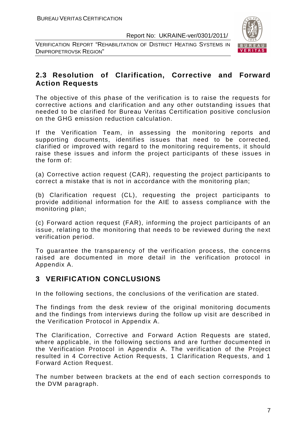VERIFICATION REPORT "REHABILITATION OF DISTRICT HEATING SYSTEMS IN DNIPROPETROVSK REGION"



## **2.3 Resolution of Clarification, Corrective and Forward Action Requests**

The objective of this phase of the verification is to raise the requests for corrective actions and clarification and any other outstanding issues that needed to be clarified for Bureau Veritas Certification positive conclusion on the GHG emission reduction calculation.

If the Verification Team, in assessing the monitoring reports and supporting documents, identifies issues that need to be corrected, clarified or improved with regard to the monitoring requirements, it should raise these issues and inform the project participants of these issues in the form of:

(a) Corrective action request (CAR), requesting the project participants to correct a mistake that is not in accordance with the monitoring plan;

(b) Clarification request (CL), requesting the project participants to provide additional information for the AIE to assess compliance with the monitoring plan;

(c) Forward action request (FAR), informing the project participants of an issue, relating to the monitoring that needs to be reviewed during the next verification period.

To guarantee the transparency of the verification process, the concerns raised are documented in more detail in the verification protocol in Appendix A.

## **3 VERIFICATION CONCLUSIONS**

In the following sections, the conclusions of the verification are stated.

The findings from the desk review of the original monitoring documents and the findings from interviews during the follow up visit are described in the Verification Protocol in Appendix A.

The Clarification, Corrective and Forward Action Requests are stated, where applicable, in the following sections and are further documented in the Verification Protocol in Appendix A. The verification of the Project resulted in 4 Corrective Action Requests, 1 Clarification Requests, and 1 Forward Action Request.

The number between brackets at the end of each section corresponds to the DVM paragraph.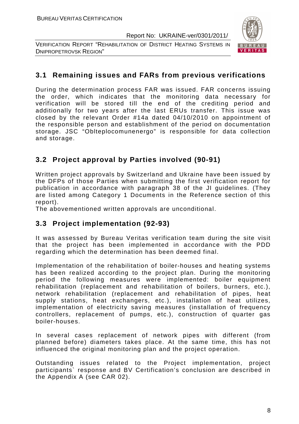VERIFICATION REPORT "REHABILITATION OF DISTRICT HEATING SYSTEMS IN DNIPROPETROVSK REGION"



## **3.1 Remaining issues and FARs from previous verifications**

During the determination process FAR was issued. FAR concerns issuing the order, which indicates that the monitoring data necessary for verification will be stored till the end of the crediting period and additionally for two years after the last ERUs transfer. This issue was closed by the relevant Order #14a dated 04/10/2010 on appointment of the responsible person and establishment of the period on documentation storage. JSC "Oblteplocomunenergo" is responsible for data collection and storage.

## **3.2 Project approval by Parties involved (90-91)**

Written project approvals by Switzerland and Ukraine have been issued by the DFPs of those Parties when submitting the first verification report for publication in accordance with paragraph 38 of the JI guidelines. (They are listed among Category 1 Documents in the Reference section of this report).

The abovementioned written approvals are unconditional.

## **3.3 Project implementation (92-93)**

It was assessed by Bureau Veritas verification team during the site visit that the project has been implemented in accordance with the PDD regarding which the determination has been deemed final.

Implementation of the rehabilitation of boiler-houses and heating systems has been realized according to the project plan. During the monitoring period the following measures were implemented: boiler equipment rehabilitation (replacement and rehabilitation of boilers, burners, etc.), network rehabilitation (replacement and rehabilitation of pipes, heat supply stations, heat exchangers, etc.), installation of heat utilizes, implementation of electricity saving measures (installation of frequency controllers, replacement of pumps, etc.), construction of quarter gas boiler-houses.

In several cases replacement of network pipes with different (from planned before) diameters takes place. At the same time, this has not influenced the original monitoring plan and the project operation.

Outstanding issues related to the Project implementation, project participants` response and BV Certification's conclusion are described in the Appendix A (see CAR 02).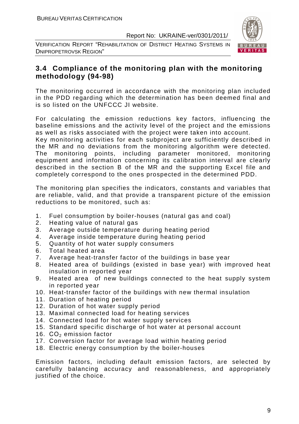VERIFICATION REPORT "REHABILITATION OF DISTRICT HEATING SYSTEMS IN DNIPROPETROVSK REGION"



## **3.4 Compliance of the monitoring plan with the monitoring methodology (94-98)**

The monitoring occurred in accordance with the monitoring plan included in the PDD regarding which the determination has been deemed final and is so listed on the UNFCCC JI website.

For calculating the emission reductions key factors, influencing the baseline emissions and the activity level of the project and the emissions as well as risks associated with the project were taken into account.

Key monitoring activities for each subproject are sufficiently described in the MR and no deviations from the monitoring algorithm were detected. The monitoring points, including parameter monitored, monitoring equipment and information concerning its calibration interval are clearly described in the section B of the MR and the supporting Excel file and completely correspond to the ones prospected in the determined PDD.

The monitoring plan specifies the indicators, constants and variables that are reliable, valid, and that provide a transparent picture of the emission reductions to be monitored, such as:

- 1. Fuel consumption by boiler-houses (natural gas and coal)
- 2. Heating value of natural gas
- 3. Average outside temperature during heating period
- 4. Average inside temperature during heating period
- 5. Quantity of hot water supply consumers
- 6. Total heated area
- 7. Average heat-transfer factor of the buildings in base year
- 8. Heated area of buildings (existed in base year) with improved heat insulation in reported year
- 9. Heated area of new buildings connected to the heat supply system in reported year
- 10. Heat-transfer factor of the buildings with new thermal insulation
- 11. Duration of heating period
- 12. Duration of hot water supply period
- 13. Maximal connected load for heating services
- 14. Connected load for hot water supply services
- 15. Standard specific discharge of hot water at personal account
- 16.  $CO<sub>2</sub>$  emission factor
- 17. Conversion factor for average load within heating period
- 18. Electric energy consumption by the boiler-houses

Emission factors, including default emission factors, are selected by carefully balancing accuracy and reasonableness, and appropriately justified of the choice.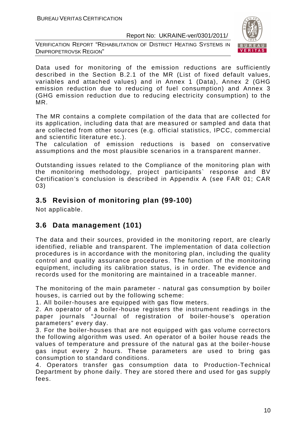VERIFICATION REPORT "REHABILITATION OF DISTRICT HEATING SYSTEMS IN DNIPROPETROVSK REGION"



Data used for monitoring of the emission reductions are sufficiently described in the Section B.2.1 of the MR (List of fixed default values, variables and attached values) and in Annex 1 (Data), Annex 2 (GHG emission reduction due to reducing of fuel consumption) and Annex 3 (GHG emission reduction due to reducing electricity consumption) to the MR.

The MR contains a complete compilation of the data that are collected for its application, including data that are measured or sampled and data that are collected from other sources (e.g. official statistics, IPCC, commercial and scientific literature etc.).

The calculation of emission reductions is based on conservative assumptions and the most plausible scenarios in a transparent manner.

Outstanding issues related to the Compliance of the monitoring plan with the monitoring methodology, project participants` response and BV Certification's conclusion is described in Appendix A (see FAR 01; CAR 03)

## **3.5 Revision of monitoring plan (99-100)**

Not applicable.

## **3.6 Data management (101)**

The data and their sources, provided in the monitoring report, are clearly identified, reliable and transparent. The implementation of data collection procedures is in accordance with the monitoring plan, including the quality control and quality assurance procedures. The function of the monitoring equipment, including its calibration status, is in order. The evidence and records used for the monitoring are maintained in a traceable manner.

The monitoring of the main parameter - natural gas consumption by boiler houses, is carried out by the following scheme:

1. All boiler-houses are equipped with gas flow meters.

2. An operator of a boiler-house registers the instrument readings in the paper journals "Journal of registration of boiler-house's operation parameters" every day.

3. For the boiler-houses that are not equipped with gas volume correctors the following algorithm was used. An operator of a boiler house reads the values of temperature and pressure of the natural gas at the boiler-house gas input every 2 hours. These parameters are used to bring gas consumption to standard conditions.

4. Operators transfer gas consumption data to Production-Technical Department by phone daily. They are stored there and used for gas supply fees.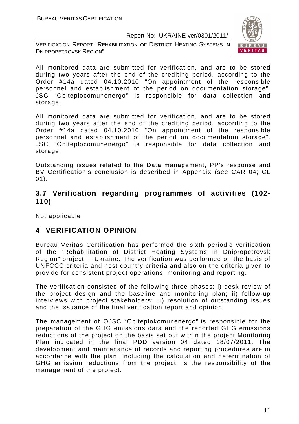VERIFICATION REPORT "REHABILITATION OF DISTRICT HEATING SYSTEMS IN DNIPROPETROVSK REGION"



All monitored data are submitted for verification, and are to be stored during two years after the end of the crediting period, according to the Order #14a dated 04.10.2010 "On appointment of the responsible personnel and establishment of the period on documentation storage". JSC "Oblteplocomunenergo" is responsible for data collection and storage.

All monitored data are submitted for verification, and are to be stored during two years after the end of the crediting period, according to the Order #14a dated 04.10.2010 "On appointment of the responsible personnel and establishment of the period on documentation storage". JSC "Oblteplocomunenergo" is responsible for data collection and storage.

Outstanding issues related to the Data management, PP's response and BV Certification's conclusion is described in Appendix (see CAR 04; CL 01).

## **3.7 Verification regarding programmes of activities (102- 110)**

Not applicable

## **4 VERIFICATION OPINION**

Bureau Veritas Certification has performed the sixth periodic verification of the "Rehabilitation of District Heating Systems in Dnipropetrovsk Region" project in Ukraine. The verification was performed on the basis of UNFCCC criteria and host country criteria and also on the criteria given to provide for consistent project operations, monitoring and reporting.

The verification consisted of the following three phases: i) desk review of the project design and the baseline and monitoring plan; ii) follow-up interviews with project stakeholders; iii) resolution of outstanding issues and the issuance of the final verification report and opinion.

The management of OJSC "Oblteplokomunenergo" is responsible for the preparation of the GHG emissions data and the reported GHG emissions reductions of the project on the basis set out within the project Monitoring Plan indicated in the final PDD version 04 dated 18/07/2011. The development and maintenance of records and reporting procedures are in accordance with the plan, including the calculation and determination of GHG emission reductions from the project, is the responsibility of the management of the project.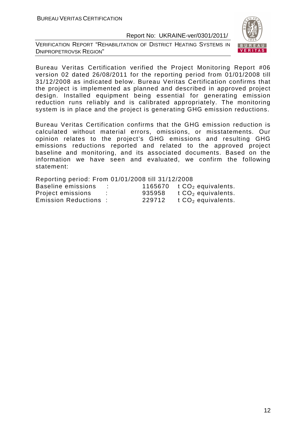VERIFICATION REPORT "REHABILITATION OF DISTRICT HEATING SYSTEMS IN DNIPROPETROVSK REGION"



Bureau Veritas Certification verified the Project Monitoring Report #06 version 02 dated 26/08/2011 for the reporting period from 01/01/2008 till 31/12/2008 as indicated below. Bureau Veritas Certification confirms that the project is implemented as planned and described in approved project design. Installed equipment being essential for generating emission reduction runs reliably and is calibrated appropriately. The monitoring system is in place and the project is generating GHG emission reductions.

Bureau Veritas Certification confirms that the GHG emission reduction is calculated without material errors, omissions, or misstatements. Our opinion relates to the project's GHG emissions and resulting GHG emissions reductions reported and related to the approved project baseline and monitoring, and its associated documents. Based on the information we have seen and evaluated, we confirm the following statement:

| Reporting period: From 01/01/2008 till 31/12/2008 |    |        |                                  |
|---------------------------------------------------|----|--------|----------------------------------|
| Baseline emissions                                |    |        | 1165670 $t CO2$ equivalents.     |
| Project emissions                                 | ÷. | 935958 | $t$ CO <sub>2</sub> equivalents. |
| <b>Emission Reductions:</b>                       |    | 229712 | t $CO2$ equivalents.             |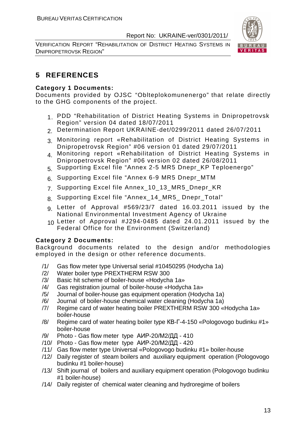VERIFICATION REPORT "REHABILITATION OF DISTRICT HEATING SYSTEMS IN DNIPROPETROVSK REGION"



## **5 REFERENCES**

#### **Category 1 Documents:**

Documents provided by OJSC "Oblteplokomunenergo" that relate directly to the GHG components of the project.

- 1. PDD "Rehabilitation of District Heating Systems in Dnipropetrovsk Region" version 04 dated 18/07/2011
- 2. Determination Report UKRAINE-det/0299/2011 dated 26/07/2011
- 3. Monitoring report «Rehabilitation of District Heating Systems in Dnipropetrovsk Region" #06 version 01 dated 29/07/2011
- 4. Monitoring report «Rehabilitation of District Heating Systems in Dnipropetrovsk Region" #06 version 02 dated 26/08/2011
- 5. Supporting Excel file "Annex 2-5 MR5 Dnepr\_KP Teploenergo"
- 6. Supporting Excel file "Annex 6-9 MR5 Dnepr\_MTM
- 7. Supporting Excel file Annex\_10\_13\_MR5\_Dnepr\_KR
- 8. Supporting Excel file "Annex\_14 MR5 Dnepr Total"
- 9. Letter of Approval #569/23/7 dated 16.03.2011 issued by the National Environmental Investment Agency of Ukraine
- 10. Letter of Approval #J294-0485 dated 24.01.2011 issued by the Federal Office for the Environment (Switzerland)

#### **Category 2 Documents:**

Background documents related to the design and/or methodologies employed in the design or other reference documents.

- /1/ Gas flow meter type Universal serial #10450295 (Hodycha 1a)
- /2/ Water boiler type PREXTHERM RSW 300
- /3/ Basic hit scheme of boiler-house «Hodycha 1a»
- /4/ Gas registration journal of boiler-house «Hodycha 1a»
- /5/ Journal of boiler-house gas equipment operation (Hodycha 1a)
- /6/ Journal of boiler-house chemical water cleaning (Hodycha 1a)
- /7/ Regime card of water heating boiler PREXTHERM RSW 300 «Hodycha 1a» boiler-house
- /8/ Regime card of water heating boiler type КВ-Г-4-150 «Pologovogo budinku #1» boiler-house
- /9/ Photo Gas flow meter type АИР-20/М2/ДД 410
- /10/ Photo Gas flow meter type АИР-20/М2/ДД 420
- /11/ Gas flow meter type Universal «Pologovogo budinku #1» boiler-house
- /12/ Daily register of steam boilers and auxiliary equipment operation (Pologovogo budinku #1 boiler-house)
- /13/ Shift journal of boilers and auxiliary equipment operation (Pologovogo budinku #1 boiler-house)
- /14/ Daily register of chemical water cleaning and hydroregime of boilers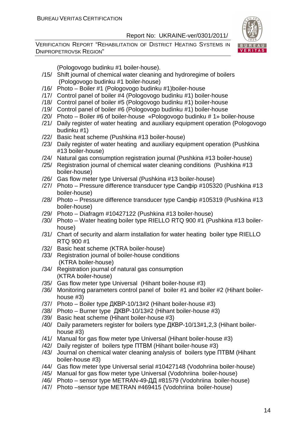VERIFICATION REPORT "REHABILITATION OF DISTRICT HEATING SYSTEMS IN DNIPROPETROVSK REGION"



(Pologovogo budinku #1 boiler-house).

- /15/ Shift journal of chemical water cleaning and hydroregime of boilers (Pologovogo budinku #1 boiler-house)
- /16/ Photo Boiler #1 (Pologovogo budinku #1)boiler-house
- /17/ Control panel of boiler #4 (Pologovogo budinku #1) boiler-house
- /18/ Control panel of boiler #5 (Pologovogo budinku #1) boiler-house
- /19/ Control panel of boiler #6 (Pologovogo budinku #1) boiler-house
- /20/ Photo Boiler #6 of boiler-house «Pologovogo budinku # 1» boiler-house
- /21/ Daily register of water heating and auxiliary equipment operation (Pologovogo budinku #1)
- /22/ Basic heat scheme (Pushkina #13 boiler-house)
- /23/ Daily register of water heating and auxiliary equipment operation (Pushkina #13 boiler-house)
- /24/ Natural gas consumption registration journal (Pushkina #13 boiler-house)
- /25/ Registration journal of chemical water cleaning conditions (Pushkina #13 boiler-house)
- /26/ Gas flow meter type Universal (Pushkina #13 boiler-house)
- /27/ Photo Pressure difference transducer type Сапфір #105320 (Pushkina #13 boiler-house)
- /28/ Photo Pressure difference transducer type Сапфір #105319 (Pushkina #13 boiler-house)
- /29/ Photo Diafragm #10427122 (Pushkina #13 boiler-house)
- /30/ Photo Water heating boiler type RIELLO RTQ 900 #1 (Pushkina #13 boilerhouse)
- /31/ Chart of security and alarm installation for water heating boiler type RIELLO RTQ 900 #1
- /32/ Basic heat scheme (KTRA boiler-house)
- /33/ Registration journal of boiler-house conditions (KTRA boiler-house)
- /34/ Registration journal of natural gas consumption (KTRA boiler-house)
- /35/ Gas flow meter type Universal (Hihant boiler-house #3)
- /36/ Monitoring parameters control panel of boiler #1 and boiler #2 (Hihant boilerhouse #3)
- /37/ Photo Boiler type ДКВР-10/13#2 (Hihant boiler-house #3)
- /38/ Photo Burner type ДКВР-10/13#2 (Hihant boiler-house #3)
- /39/ Basic heat scheme (Hihant boiler-house #3)
- /40/ Daily parameters register for boilers type ДКВР-10/13#1,2,3 (Hihant boilerhouse #3)
- /41/ Manual for gas flow meter type Universal (Hihant boiler-house #3)
- /42/ Daily register of boilers type ПТВМ (Hihant boiler-house #3)
- /43/ Journal on chemical water cleaning analysis of boilers type ПТВМ (Hihant boiler-house #3)
- /44/ Gas flow meter type Universal serial #10427148 (Vodohriina boiler-house)
- /45/ Manual for gas flow meter type Universal (Vodohriina boiler-house)
- /46/ Photo sensor type METRAN-49-ДД #81579 (Vodohriina boiler-house)
- /47/ Photo –sensor type METRAN #469415 (Vodohriina boiler-house)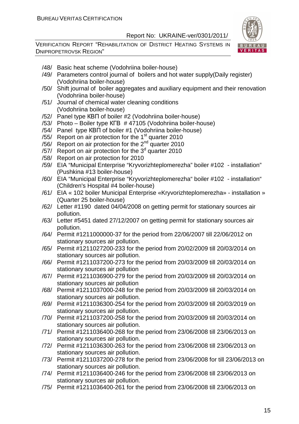

- /48/ Basic heat scheme (Vodohriina boiler-house)
- /49/ Parameters control journal of boilers and hot water supply(Daily register) (Vodohriina boiler-house)
- /50/ Shift journal of boiler aggregates and auxiliary equipment and their renovation (Vodohriina boiler-house)
- /51/ Journal of chemical water cleaning conditions (Vodohriina boiler-house)
- /52/ Panel type КВП of boiler #2 (Vodohriina boiler-house)
- /53/ Photo Boiler type КГВ # 47105 (Vodohriina boiler-house)
- /54/ Panel type КВП of boiler #1 (Vodohriina boiler-house)
- /55/ Report on air protection for the  $1<sup>st</sup>$  quarter 2010
- /56/ Report on air protection for the 2nd quarter 2010
- /57/ Report on air protection for the  $3<sup>d</sup>$  quarter 2010
- /58/ Report on air protection for 2010
- /59/ EIA "Municipal Enterprise "Kryvorizhteplomerezha" boiler #102 installation" (Pushkina #13 boiler-house)
- /60/ EIA "Municipal Enterprise "Kryvorizhteplomerezha" boiler #102 installation" (Children's Hospital #4 boiler-house)
- /61/ EIA « 102 boiler Municipal Enterprise «Kryvorizhteplomerezha» installation » (Quarter 25 boiler-house)
- /62/ Letter #1190 dated 04/04/2008 on getting permit for stationary sources air pollution.
- /63/ Letter #5451 dated 27/12/2007 on getting permit for stationary sources air pollution.
- /64/ Permit #1211000000-37 for the period from 22/06/2007 till 22/06/2012 on stationary sources air pollution.
- /65/ Permit #1211027200-233 for the period from 20/02/2009 till 20/03/2014 on stationary sources air pollution.
- /66/ Permit #1211037200-273 for the period from 20/03/2009 till 20/03/2014 on stationary sources air pollution
- /67/ Permit #1211036900-279 for the period from 20/03/2009 till 20/03/2014 on stationary sources air pollution
- /68/ Permit #1211037000-248 for the period from 20/03/2009 till 20/03/2014 on stationary sources air pollution.
- /69/ Permit #1211036300-254 for the period from 20/03/2009 till 20/03/2019 on stationary sources air pollution.
- /70/ Permit #1211037200-258 for the period from 20/03/2009 till 20/03/2014 on stationary sources air pollution.
- /71/ Permit #1211036400-268 for the period from 23/06/2008 till 23/06/2013 on stationary sources air pollution.
- /72/ Permit #1211036300-263 for the period from 23/06/2008 till 23/06/2013 on stationary sources air pollution.
- /73/ Permit #1211037200-278 for the period from 23/06/2008 for till 23/06/2013 on stationary sources air pollution.
- /74/ Permit #1211036400-246 for the period from 23/06/2008 till 23/06/2013 on stationary sources air pollution.
- /75/ Permit #1211036400-261 for the period from 23/06/2008 till 23/06/2013 on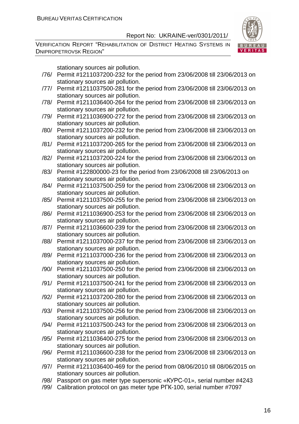VERIFICATION REPORT "REHABILITATION OF DISTRICT HEATING SYSTEMS IN DNIPROPETROVSK REGION"



stationary sources air pollution.

- /76/ Permit #1211037200-232 for the period from 23/06/2008 till 23/06/2013 on stationary sources air pollution.
- /77/ Permit #1211037500-281 for the period from 23/06/2008 till 23/06/2013 on stationary sources air pollution.
- /78/ Permit #1211036400-264 for the period from 23/06/2008 till 23/06/2013 on stationary sources air pollution.
- /79/ Permit #1211036900-272 for the period from 23/06/2008 till 23/06/2013 on stationary sources air pollution.
- /80/ Permit #1211037200-232 for the period from 23/06/2008 till 23/06/2013 on stationary sources air pollution.
- /81/ Permit #1211037200-265 for the period from 23/06/2008 till 23/06/2013 on stationary sources air pollution.
- /82/ Permit #1211037200-224 for the period from 23/06/2008 till 23/06/2013 on stationary sources air pollution.
- /83/ Permit #122800000-23 for the period from 23/06/2008 till 23/06/2013 on stationary sources air pollution.
- /84/ Permit #1211037500-259 for the period from 23/06/2008 till 23/06/2013 on stationary sources air pollution.
- /85/ Permit #1211037500-255 for the period from 23/06/2008 till 23/06/2013 on stationary sources air pollution.
- /86/ Permit #1211036900-253 for the period from 23/06/2008 till 23/06/2013 on stationary sources air pollution.
- /87/ Permit #1211036600-239 for the period from 23/06/2008 till 23/06/2013 on stationary sources air pollution.
- /88/ Permit #1211037000-237 for the period from 23/06/2008 till 23/06/2013 on stationary sources air pollution.
- /89/ Permit #1211037000-236 for the period from 23/06/2008 till 23/06/2013 on stationary sources air pollution.
- /90/ Permit #1211037500-250 for the period from 23/06/2008 till 23/06/2013 on stationary sources air pollution.
- /91/ Permit #1211037500-241 for the period from 23/06/2008 till 23/06/2013 on stationary sources air pollution.
- /92/ Permit #1211037200-280 for the period from 23/06/2008 till 23/06/2013 on stationary sources air pollution.
- /93/ Permit #1211037500-256 for the period from 23/06/2008 till 23/06/2013 on stationary sources air pollution.
- /94/ Permit #1211037500-243 for the period from 23/06/2008 till 23/06/2013 on stationary sources air pollution.
- /95/ Permit #1211036400-275 for the period from 23/06/2008 till 23/06/2013 on stationary sources air pollution.
- /96/ Permit #1211036600-238 for the period from 23/06/2008 till 23/06/2013 on stationary sources air pollution.
- /97/ Permit #1211036400-469 for the period from 08/06/2010 till 08/06/2015 on stationary sources air pollution.
- /98/ Passport on gas meter type supersonic «КУРС-01», serial number #4243
- /99/ Calibration protocol on gas meter type РГК-100, serial number #7097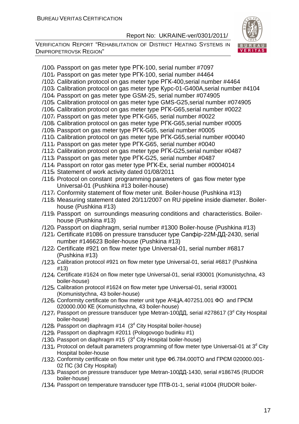

- /100/ Passport on gas meter type РГК-100, serial number #7097
- /101/ Passport on gas meter type РГК-100, serial number #4464
- /102/ Calibration protocol on gas meter type РГК-400,serial number #4464
- /103/ Calibration protocol on gas meter type Курс-01-G400A,serial number #4104
- /104/ Passport on gas meter type GSM-25, serial number #074905
- /105/ Calibration protocol on gas meter type GMS-G25,serial number #074905
- /106/ Calibration protocol on gas meter type РГК-G65,serial number #0022
- /107/ Passport on gas meter type РГК-G65, serial number #0022
- /108/ Calibration protocol on gas meter type РГК-G65,serial number #0005
- /109/ Passport on gas meter type РГК-G65, serial number #0005
- /110/ Calibration protocol on gas meter type РГК-G65,serial number #00040
- /111/ Passport on gas meter type РГК-G65, serial number #0040
- /112/ Calibration protocol on gas meter type РГК-G25,serial number #0487
- /113/ Passport on gas meter type РГК-G25, serial number #0487
- /114/ Passport on rotor gas meter type РГК-Ех, serial number #0004014
- /115/ Statement of work activity dated 01/08/2011
- /116/ Protocol on constant programming parameters of gas flow meter type Universal-01 (Pushkina #13 boiler-house)
- /117/ Conformity statement of flow meter unit. Boiler-house (Pushkina #13)
- /118/ Measuring statement dated 20/11/2007 on RU pipeline inside diameter. Boilerhouse (Pushkina #13)
- /119/ Passport on surroundings measuring conditions and characteristics. Boilerhouse (Pushkina #13)
- /120/ Passport on diaphragm, serial number #1300 Boiler-house (Pushkina #13)
- /121/ Сertificate #1086 on pressure transducer type Сапфір-22М-ДД-2430, serial number #146623 Boiler-house (Pushkina #13)
- /122/ Сertificate #921 on flow meter type Universal-01, serial number #6817 (Pushkina #13)
- /123/ Calibration protocol #921 on flow meter type Universal-01, serial #6817 (Pushkina #13)
- /124/ Certificate #1624 on flow meter type Universal-01, serial #30001 (Komunistychna, 43 boiler-house)
- /125/ Calibration protocol #1624 on flow meter type Universal-01, serial #30001 (Komunistychna, 43 boiler-house)
- /126/ Conformity certificate on flow meter unit type АЧЦА.407251.001 ФО and ГРЄМ 020000.000 КЕ (Komunistychna, 43 boiler-house)
- /127, Passport on pressure transducer type Metran-100ДД, serial #278617 (3<sup>d</sup> City Hospital boiler-house)
- /128, Passport on diaphragm #14 (3<sup>d</sup> City Hospital boiler-house)
- /129/ Passport on diaphragm #2011 (Pologovogo budinku #1)
- /130, Passport on diaphragm #15  $(3<sup>d</sup>$  City Hospital boiler-house)
- /131, Protocol on default parameters programming of flow meter type Universal-01 at 3<sup>d</sup> City Hospital boiler-house
- /132/ Conformity certificate on flow meter unit type Фб.784.000ТО and ГРЄМ 020000.001- 02 ПС (3d City Hospital)
- /133/ Passport on pressure transducer type Metran-100ДД-1430, serial #186745 (RUDOR boiler-house)
- /134/ Passport on temperature transducer type ПТВ-01-1, serial #1004 (RUDOR boiler-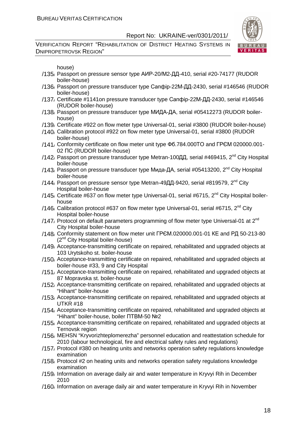VERIFICATION REPORT "REHABILITATION OF DISTRICT HEATING SYSTEMS IN DNIPROPETROVSK REGION"



house)

- /135/ Passport on pressure sensor type АИР-20/М2-ДД-410, serial #20-74177 (RUDOR boiler-house)
- /136/ Passport on pressure transducer type Сапфір-22М-ДД-2430, serial #146546 (RUDOR boiler-house)
- /137/ Certificate #1141on pressure transducer type Сапфір-22М-ДД-2430, serial #146546 (RUDOR boiler-house)
- /138/ Passport on pressure transducer type МИДА-ДА, serial #05412273 (RUDOR boilerhouse)
- /139/ Certificate #922 on flow meter type Universal-01, serial #3800 (RUDOR boiler-house)
- /140/ Calibration protocol #922 on flow meter type Universal-01, serial #3800 (RUDOR boiler-house)
- /141/ Conformity certificate on flow meter unit type Фб.784.000ТО and ГРЄМ 020000.001- 02 ПС (RUDOR boiler-house)
- /142, Passport on pressure transducer type Metran-100ДД, serial #469415, 2<sup>nd</sup> City Hospital boiler-house
- /143, Passport on pressure transducer type Мида-ДА, serial  $\#05413200$ , 2<sup>nd</sup> City Hospital boiler-house
- /144, Passport on pressure sensor type Metran-49ДД-9420, serial #819579, 2<sup>nd</sup> City Hospital boiler-house
- /145, Certificate #637 on flow meter type Universal-01, serial #6715,  $2^{nd}$  City Hospital boilerhouse
- /146/ Calibration protocol #637 on flow meter type Universal-01, serial #6715,  $2^{nd}$  City Hospital boiler-house
- /147. Protocol on default parameters programming of flow meter type Universal-01 at  $2<sup>nd</sup>$ City Hospital boiler-house
- /148/ Conformity statement on flow meter unit ГРЄМ.020000.001-01 КЕ and РД 50-213-80 (2nd City Hospital boiler-house)
- /149/ Acceptance-transmitting certificate on repaired, rehabilitated and upgraded objects at 103 Urytskoho st. boiler-house
- /150/ Acceptance-transmitting certificate on repaired, rehabilitated and upgraded objects at boiler-house #33, 9 and City Hospital
- /151/ Acceptance-transmitting certificate on repaired, rehabilitated and upgraded objects at 87 Mopravska st. boiler-house
- /152/ Acceptance-transmitting certificate on repaired, rehabilitated and upgraded objects at "Hihant" boiler-house
- /153/ Acceptance-transmitting certificate on repaired, rehabilitated and upgraded objects at UTKR #18
- /154/ Acceptance-transmitting certificate on repaired, rehabilitated and upgraded objects at "Hihant" boiler-house, boiler ПТВМ-50 №2
- /155/ Acceptance-transmitting certificate on repaired, rehabilitated and upgraded objects at Ternovsk region
- /156/ MEHSN "Kryvorizhteplomerezha" personnel education and reattestation schedule for 2010 (labour technological, fire and electrical safety rules and regulations)
- /157/ Protocol #380 on heating units and networks operation safety regulations knowledge examination
- /158/ Protocol #2 on heating units and networks operation safety regulations knowledge examination
- /159/ Information on average daily air and water temperature in Kryvyi Rih in December 2010
- /160/ Information on average daily air and water temperature in Kryvyi Rih in November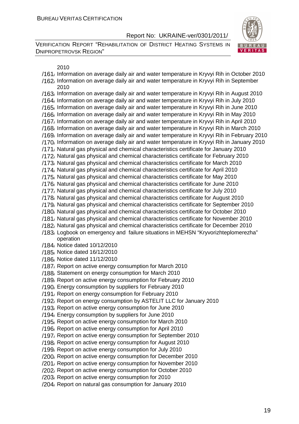VERIFICATION REPORT "REHABILITATION OF DISTRICT HEATING SYSTEMS IN DNIPROPETROVSK REGION"



2010

/161/ Information on average daily air and water temperature in Kryvyi Rih in October 2010 /162/ Information on average daily air and water temperature in Kryvyi Rih in September 2010

/163/ Information on average daily air and water temperature in Kryvyi Rih in August 2010 /164/ Information on average daily air and water temperature in Kryvyi Rih in July 2010 /165/ Information on average daily air and water temperature in Kryvyi Rih in June 2010 /166/ Information on average daily air and water temperature in Kryvyi Rih in May 2010 /167/ Information on average daily air and water temperature in Kryvyi Rih in April 2010 /168/ Information on average daily air and water temperature in Kryvyi Rih in March 2010 /169/ Information on average daily air and water temperature in Kryvyi Rih in February 2010 /170/ Information on average daily air and water temperature in Kryvyi Rih in January 2010 /171/ Natural gas physical and chemical characteristics certificate for January 2010 /172/ Natural gas physical and chemical characteristics certificate for February 2010 /173/ Natural gas physical and chemical characteristics certificate for March 2010 /174/ Natural gas physical and chemical characteristics certificate for April 2010 /175/ Natural gas physical and chemical characteristics certificate for May 2010 /176/ Natural gas physical and chemical characteristics certificate for June 2010 /177/ Natural gas physical and chemical characteristics certificate for July 2010 /178/ Natural gas physical and chemical characteristics certificate for August 2010 /179/ Natural gas physical and chemical characteristics certificate for September 2010 /180/ Natural gas physical and chemical characteristics certificate for October 2010 /181/ Natural gas physical and chemical characteristics certificate for November 2010 /182/ Natural gas physical and chemical characteristics certificate for December 2010 /183/ Logbook on emergency and failure situations in MEHSN "Kryvorizhteplomerezha" operation /184/ Notice dated 10/12/2010 /185/ Notice dated 16/12/2010 /186/ Notice dated 11/12/2010 /187/ Report on active energy consumption for March 2010 /188/ Statement on energy consumption for March 2010 /189/ Report on active energy consumption for February 2010 /190/ Energy consumption by suppliers for February 2010 /191/ Report on energy consumption for February 2010 /192/ Report on energy consumption by ASTELIT LLC for January 2010 /193/ Report on active energy consumption for June 2010 /194/ Energy consumption by suppliers for June 2010 /195/ Report on active energy consumption for March 2010 /196/ Report on active energy consumption for April 2010 /197/ Report on active energy consumption for September 2010 /198/ Report on active energy consumption for August 2010 /199/ Report on active energy consumption for July 2010 /200/ Report on active energy consumption for December 2010 /201/ Report on active energy consumption for November 2010 /202/ Report on active energy consumption for October 2010 /203/ Report on active energy consumption for 2010 /204/ Report on natural gas consumption for January 2010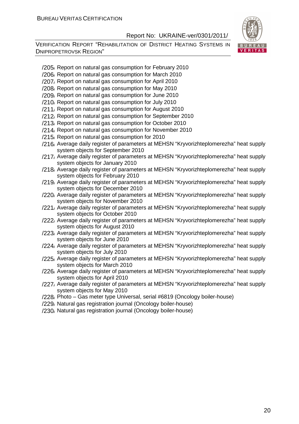

- /205/ Report on natural gas consumption for February 2010
- /206/ Report on natural gas consumption for March 2010
- /207/ Report on natural gas consumption for April 2010
- /208/ Report on natural gas consumption for May 2010
- /209/ Report on natural gas consumption for June 2010
- /210/ Report on natural gas consumption for July 2010
- /211/ Report on natural gas consumption for August 2010
- /212/ Report on natural gas consumption for September 2010
- /213/ Report on natural gas consumption for October 2010
- /214/ Report on natural gas consumption for November 2010
- /215/ Report on natural gas consumption for 2010
- /216/ Average daily register of parameters at MEHSN "Kryvorizhteplomerezha" heat supply system objects for September 2010
- /217/ Average daily register of parameters at MEHSN "Kryvorizhteplomerezha" heat supply system objects for January 2010
- /218/ Average daily register of parameters at MEHSN "Kryvorizhteplomerezha" heat supply system objects for February 2010
- /219/ Average daily register of parameters at MEHSN "Kryvorizhteplomerezha" heat supply system objects for December 2010
- /220/ Average daily register of parameters at MEHSN "Kryvorizhteplomerezha" heat supply system objects for November 2010
- /221/ Average daily register of parameters at MEHSN "Kryvorizhteplomerezha" heat supply system objects for October 2010
- /222/ Average daily register of parameters at MEHSN "Kryvorizhteplomerezha" heat supply system objects for August 2010
- /223/ Average daily register of parameters at MEHSN "Kryvorizhteplomerezha" heat supply system objects for June 2010
- /224/ Average daily register of parameters at MEHSN "Kryvorizhteplomerezha" heat supply system objects for July 2010
- /225/ Average daily register of parameters at MEHSN "Kryvorizhteplomerezha" heat supply system objects for March 2010
- /226/ Average daily register of parameters at MEHSN "Kryvorizhteplomerezha" heat supply system objects for April 2010
- /227/ Average daily register of parameters at MEHSN "Kryvorizhteplomerezha" heat supply system objects for May 2010
- /228/ Photo Gas meter type Universal, serial #6819 (Oncology boiler-house)
- /229/ Natural gas registration journal (Oncology boiler-house)
- /230/ Natural gas registration journal (Oncology boiler-house)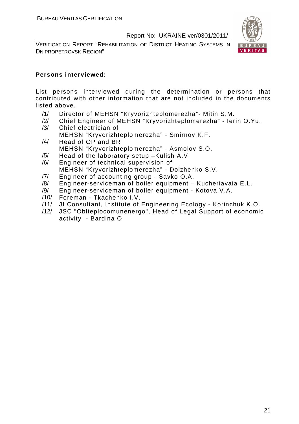VERIFICATION REPORT "REHABILITATION OF DISTRICT HEATING SYSTEMS IN DNIPROPETROVSK REGION"



#### **Persons interviewed:**

List persons interviewed during the determination or persons that contributed with other information that are not included in the documents listed above.

- /1/ Director of MEHSN "Kryvorizhteplomerezha"- Mitin S.M.
- /2/ Chief Engineer of MEHSN "Kryvorizhteplomerezha" Ierin O.Yu. /3/ Сhief electrician of
	- MEHSN "Kryvorizhteplomerezha" Smirnov K.F.
- /4/ Head of OP and BR MEHSN "Kryvorizhteplomerezha" - Asmolov S.O.
- /5/ Head of the laboratory setup –Kulish A.V.
- /6/ Engineer of technical supervision of MEHSN "Kryvorizhteplomerezha" - Dolzhenko S.V.
- /7/ Engineer of accounting group Savko O.A.
- /8/ Engineer-serviceman of boiler equipment Kucheriavaia E.L.
- /9/ Engineer-serviceman of boiler equipment Kotova V.A.
- /10/ Foreman Tkachenko I.V.
- /11/ JI Consultant, Institute of Engineering Ecology Korinchuk K.O.
- /12/ JSC "Oblteplocomunenergo", Head of Legal Support of economic activity - Bardina O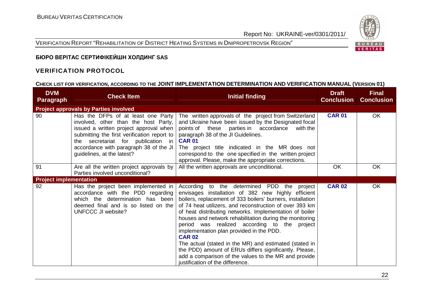VERIFICATION REPORT "REHABILITATION OF DISTRICT HEATING SYSTEMS IN DNIPROPETROVSK REGION"



## **БЮРО ВЕРІТАС СЕРТИФІКЕЙШН ХОЛДИНГ SAS**

#### **VERIFICATION PROTOCOL**

## **CHECK LIST FOR VERIFICATION, ACCORDING TO THE JOINT IMPLEMENTATION DETERMINATION AND VERIFICATION MANUAL (VERSION 01)**

| <b>DVM</b><br><b>Paragraph</b>               | <b>Check Item</b>                                                                                                                                                                                                                                                                 | <b>Initial finding</b>                                                                                                                                                                                                                                                                                                                                                                                                                                                                                                                                                                                                                                                        | <b>Draft</b><br><b>Conclusion</b> | <b>Final</b><br><b>Conclusion</b> |
|----------------------------------------------|-----------------------------------------------------------------------------------------------------------------------------------------------------------------------------------------------------------------------------------------------------------------------------------|-------------------------------------------------------------------------------------------------------------------------------------------------------------------------------------------------------------------------------------------------------------------------------------------------------------------------------------------------------------------------------------------------------------------------------------------------------------------------------------------------------------------------------------------------------------------------------------------------------------------------------------------------------------------------------|-----------------------------------|-----------------------------------|
| <b>Project approvals by Parties involved</b> |                                                                                                                                                                                                                                                                                   |                                                                                                                                                                                                                                                                                                                                                                                                                                                                                                                                                                                                                                                                               |                                   |                                   |
| 90                                           | Has the DFPs of at least one Party<br>involved, other than the host Party,<br>issued a written project approval when<br>submitting the first verification report to<br>the secretariat for publication in<br>accordance with paragraph 38 of the JI<br>guidelines, at the latest? | The written approvals of the project from Switzerland<br>and Ukraine have been issued by the Designated focal<br>points of these parties in accordance<br>with the<br>paragraph 38 of the JI Guidelines.<br><b>CAR 01</b><br>The project title indicated in the MR does not<br>correspond to the one specified in the written project<br>approval. Please, make the appropriate corrections.                                                                                                                                                                                                                                                                                  | <b>CAR 01</b>                     | OK                                |
| 91                                           | Are all the written project approvals by<br>Parties involved unconditional?                                                                                                                                                                                                       | All the written approvals are unconditional.                                                                                                                                                                                                                                                                                                                                                                                                                                                                                                                                                                                                                                  | <b>OK</b>                         | OK                                |
| <b>Project implementation</b>                |                                                                                                                                                                                                                                                                                   |                                                                                                                                                                                                                                                                                                                                                                                                                                                                                                                                                                                                                                                                               |                                   |                                   |
| 92                                           | Has the project been implemented in<br>accordance with the PDD regarding<br>which the determination has been<br>deemed final and is so listed on the<br>UNFCCC JI website?                                                                                                        | According to the determined PDD the project<br>envisages installation of 382 new highly efficient<br>boilers, replacement of 333 boilers' burners, installation<br>of 74 heat utilizers, and reconstruction of over 393 km<br>of heat distributing networks. Implementation of boiler<br>houses and network rehabilitation during the monitoring<br>period was realized according to the project<br>implementation plan provided in the PDD.<br><b>CAR 02</b><br>The actual (stated in the MR) and estimated (stated in<br>the PDD) amount of ERUs differs significantly. Please,<br>add a comparison of the values to the MR and provide<br>justification of the difference. | <b>CAR 02</b>                     | OK                                |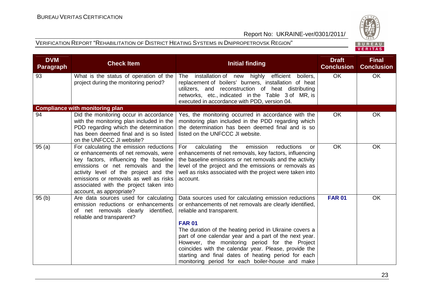



| <b>DVM</b><br><b>Paragraph</b> | <b>Check Item</b>                                                                                                                                                                                                                                                                                                       | <b>Initial finding</b>                                                                                                                                                                                                                                                                                                                                                                                                                                                                                   | <b>Draft</b><br><b>Conclusion</b> | <b>Final</b><br><b>Conclusion</b> |
|--------------------------------|-------------------------------------------------------------------------------------------------------------------------------------------------------------------------------------------------------------------------------------------------------------------------------------------------------------------------|----------------------------------------------------------------------------------------------------------------------------------------------------------------------------------------------------------------------------------------------------------------------------------------------------------------------------------------------------------------------------------------------------------------------------------------------------------------------------------------------------------|-----------------------------------|-----------------------------------|
| 93                             | What is the status of operation of the<br>project during the monitoring period?                                                                                                                                                                                                                                         | installation of new highly efficient boilers,<br><b>The</b><br>replacement of boilers' burners, installation of heat<br>utilizers, and reconstruction of heat distributing<br>networks, etc., indicated in the Table 3 of MR, is<br>executed in accordance with PDD, version 04.                                                                                                                                                                                                                         | <b>OK</b>                         | OK                                |
|                                | <b>Compliance with monitoring plan</b>                                                                                                                                                                                                                                                                                  |                                                                                                                                                                                                                                                                                                                                                                                                                                                                                                          |                                   |                                   |
| 94                             | Did the monitoring occur in accordance<br>with the monitoring plan included in the<br>PDD regarding which the determination<br>has been deemed final and is so listed<br>on the UNFCCC JI website?                                                                                                                      | Yes, the monitoring occurred in accordance with the<br>monitoring plan included in the PDD regarding which<br>the determination has been deemed final and is so<br>listed on the UNFCCC JI website.                                                                                                                                                                                                                                                                                                      | <b>OK</b>                         | OK                                |
| 95(a)                          | For calculating the emission reductions<br>or enhancements of net removals, were<br>key factors, influencing the baseline<br>emissions or net removals and the<br>activity level of the project and the<br>emissions or removals as well as risks<br>associated with the project taken into<br>account, as appropriate? | emission<br>For<br>calculating<br>the<br>reductions<br>or<br>enhancements of net removals, key factors, influencing<br>the baseline emissions or net removals and the activity<br>level of the project and the emissions or removals as<br>well as risks associated with the project were taken into<br>account.                                                                                                                                                                                         | OK                                | OK                                |
| 95(b)                          | Are data sources used for calculating<br>emission reductions or enhancements<br>of net removals clearly<br>identified,<br>reliable and transparent?                                                                                                                                                                     | Data sources used for calculating emission reductions<br>or enhancements of net removals are clearly identified,<br>reliable and transparent.<br><b>FAR 01</b><br>The duration of the heating period in Ukraine covers a<br>part of one calendar year and a part of the next year.<br>However, the monitoring period for the Project<br>coincides with the calendar year. Please, provide the<br>starting and final dates of heating period for each<br>monitoring period for each boiler-house and make | <b>FAR 01</b>                     | OK                                |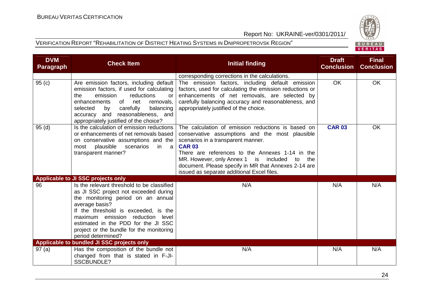



| <b>DVM</b><br><b>Paragraph</b> | <b>Check Item</b>                                                                                                                                                                                                                                                                                                                | <b>Initial finding</b>                                                                                                                                                                                                                                                                                                                                                      | <b>Draft</b><br><b>Conclusion</b> | <b>Final</b><br><b>Conclusion</b> |
|--------------------------------|----------------------------------------------------------------------------------------------------------------------------------------------------------------------------------------------------------------------------------------------------------------------------------------------------------------------------------|-----------------------------------------------------------------------------------------------------------------------------------------------------------------------------------------------------------------------------------------------------------------------------------------------------------------------------------------------------------------------------|-----------------------------------|-----------------------------------|
|                                |                                                                                                                                                                                                                                                                                                                                  | corresponding corrections in the calculations.                                                                                                                                                                                                                                                                                                                              |                                   |                                   |
| 95(c)                          | Are emission factors, including default<br>emission factors, if used for calculating<br>emission<br>reductions<br>the<br>or<br>enhancements<br>of<br>net<br>removals,<br>carefully<br>selected<br>balancing<br>by<br>and reasonableness, and<br>accuracy<br>appropriately justified of the choice?                               | The emission factors, including default emission<br>factors, used for calculating the emission reductions or<br>enhancements of net removals, are selected by<br>carefully balancing accuracy and reasonableness, and<br>appropriately justified of the choice.                                                                                                             | <b>OK</b>                         | <b>OK</b>                         |
| 95(d)                          | Is the calculation of emission reductions<br>or enhancements of net removals based<br>on conservative assumptions and the<br>plausible scenarios<br>in<br>most<br>a a<br>transparent manner?                                                                                                                                     | The calculation of emission reductions is based on<br>conservative assumptions and the most plausible<br>scenarios in a transparent manner.<br><b>CAR 03</b><br>There are references to the Annexes 1-14 in the<br>MR. However, only Annex 1 is included<br>the<br>to<br>document. Please specify in MR that Annexes 2-14 are<br>issued as separate additional Excel files. | <b>CAR 03</b>                     | <b>OK</b>                         |
|                                | <b>Applicable to JI SSC projects only</b>                                                                                                                                                                                                                                                                                        |                                                                                                                                                                                                                                                                                                                                                                             |                                   |                                   |
| 96                             | Is the relevant threshold to be classified<br>as JI SSC project not exceeded during<br>the monitoring period on an annual<br>average basis?<br>If the threshold is exceeded, is the<br>maximum emission reduction level<br>estimated in the PDD for the JI SSC<br>project or the bundle for the monitoring<br>period determined? | N/A                                                                                                                                                                                                                                                                                                                                                                         | N/A                               | N/A                               |
|                                | Applicable to bundled JI SSC projects only                                                                                                                                                                                                                                                                                       |                                                                                                                                                                                                                                                                                                                                                                             |                                   |                                   |
| 97(a)                          | Has the composition of the bundle not<br>changed from that is stated in F-JI-<br><b>SSCBUNDLE?</b>                                                                                                                                                                                                                               | N/A                                                                                                                                                                                                                                                                                                                                                                         | N/A                               | N/A                               |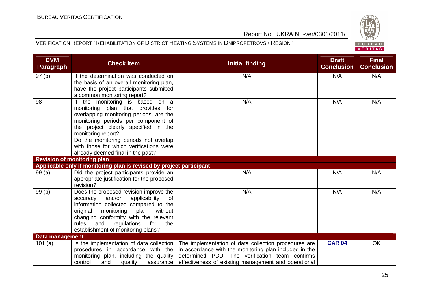



| <b>DVM</b><br><b>Paragraph</b> | <b>Check Item</b>                                                                                                                                                                                                                                                                                                                             | <b>Initial finding</b>                                                                                                                                                                                                   | <b>Draft</b><br><b>Conclusion</b> | <b>Final</b><br><b>Conclusion</b> |
|--------------------------------|-----------------------------------------------------------------------------------------------------------------------------------------------------------------------------------------------------------------------------------------------------------------------------------------------------------------------------------------------|--------------------------------------------------------------------------------------------------------------------------------------------------------------------------------------------------------------------------|-----------------------------------|-----------------------------------|
| 97(b)                          | If the determination was conducted on<br>the basis of an overall monitoring plan,<br>have the project participants submitted<br>a common monitoring report?                                                                                                                                                                                   | N/A                                                                                                                                                                                                                      | N/A                               | N/A                               |
| 98                             | If the monitoring is based on a<br>monitoring plan that provides for<br>overlapping monitoring periods, are the<br>monitoring periods per component of<br>the project clearly specified in the<br>monitoring report?<br>Do the monitoring periods not overlap<br>with those for which verifications were<br>already deemed final in the past? | N/A                                                                                                                                                                                                                      | N/A                               | N/A                               |
|                                | <b>Revision of monitoring plan</b>                                                                                                                                                                                                                                                                                                            |                                                                                                                                                                                                                          |                                   |                                   |
|                                | Applicable only if monitoring plan is revised by project participant                                                                                                                                                                                                                                                                          |                                                                                                                                                                                                                          |                                   |                                   |
| 99(a)                          | Did the project participants provide an<br>appropriate justification for the proposed<br>revision?                                                                                                                                                                                                                                            | N/A                                                                                                                                                                                                                      | N/A                               | N/A                               |
| 99(b)                          | Does the proposed revision improve the<br>accuracy and/or<br>applicability<br>of<br>information collected compared to the<br>plan<br>without<br>original<br>monitoring<br>changing conformity with the relevant<br>regulations for<br>rules<br>and<br>the<br>establishment of monitoring plans?                                               | N/A                                                                                                                                                                                                                      | N/A                               | N/A                               |
| <b>Data management</b>         |                                                                                                                                                                                                                                                                                                                                               |                                                                                                                                                                                                                          |                                   |                                   |
| 101(a)                         | Is the implementation of data collection<br>procedures in accordance with the<br>monitoring plan, including the quality<br>control<br>and<br>quality<br>assurance                                                                                                                                                                             | The implementation of data collection procedures are<br>in accordance with the monitoring plan included in the<br>determined PDD. The verification team confirms<br>effectiveness of existing management and operational | <b>CAR 04</b>                     | OK                                |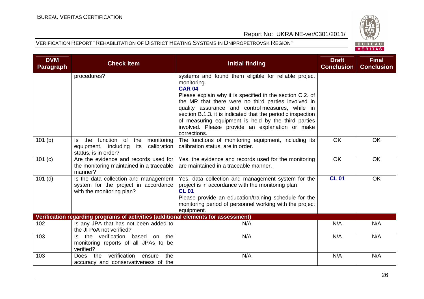

|  |  | R II R F A I |  |  |  |
|--|--|--------------|--|--|--|
|  |  | VERITAS      |  |  |  |

| <b>DVM</b><br><b>Paragraph</b> | <b>Check Item</b>                                                                                                 | <b>Initial finding</b>                                                                                                                                                                                                                                                                                                                                                                                                                                | <b>Draft</b><br><b>Conclusion</b> | <b>Final</b><br><b>Conclusion</b> |
|--------------------------------|-------------------------------------------------------------------------------------------------------------------|-------------------------------------------------------------------------------------------------------------------------------------------------------------------------------------------------------------------------------------------------------------------------------------------------------------------------------------------------------------------------------------------------------------------------------------------------------|-----------------------------------|-----------------------------------|
|                                | procedures?                                                                                                       | systems and found them eligible for reliable project<br>monitoring.<br><b>CAR 04</b><br>Please explain why it is specified in the section C.2. of<br>the MR that there were no third parties involved in<br>quality assurance and control measures, while in<br>section B.1.3. it is indicated that the periodic inspection<br>of measuring equipment is held by the third parties<br>involved. Please provide an explanation or make<br>corrections. |                                   |                                   |
| 101(b)                         | the function of<br>the<br>monitoring<br>Is.<br>calibration<br>equipment, including<br>its<br>status, is in order? | The functions of monitoring equipment, including its<br>calibration status, are in order.                                                                                                                                                                                                                                                                                                                                                             | <b>OK</b>                         | OK                                |
| 101(c)                         | Are the evidence and records used for<br>the monitoring maintained in a traceable<br>manner?                      | Yes, the evidence and records used for the monitoring<br>are maintained in a traceable manner.                                                                                                                                                                                                                                                                                                                                                        | <b>OK</b>                         | <b>OK</b>                         |
| $101$ (d)                      | Is the data collection and management<br>system for the project in accordance<br>with the monitoring plan?        | Yes, data collection and management system for the<br>project is in accordance with the monitoring plan<br><b>CL 01</b><br>Please provide an education/training schedule for the<br>monitoring period of personnel working with the project<br>equipment.                                                                                                                                                                                             | <b>CL 01</b>                      | <b>OK</b>                         |
|                                | Verification regarding programs of activities (additional elements for assessment)                                |                                                                                                                                                                                                                                                                                                                                                                                                                                                       |                                   |                                   |
| 102                            | Is any JPA that has not been added to<br>the JI PoA not verified?                                                 | N/A                                                                                                                                                                                                                                                                                                                                                                                                                                                   | N/A                               | N/A                               |
| 103                            | the verification based on<br>the<br>ls.<br>monitoring reports of all JPAs to be<br>verified?                      | N/A                                                                                                                                                                                                                                                                                                                                                                                                                                                   | N/A                               | N/A                               |
| 103                            | verification<br>the<br>the<br>ensure<br>Does<br>accuracy and conservativeness of the                              | N/A                                                                                                                                                                                                                                                                                                                                                                                                                                                   | N/A                               | N/A                               |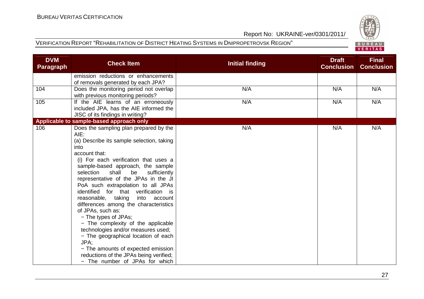

|  | ----   |  |
|--|--------|--|
|  | ERITAS |  |

| <b>DVM</b><br><b>Paragraph</b> | <b>Check Item</b>                                                                                                                                                                                                                                                                                                                                                                                                                                                                                                                                                                                                                                                                                                                               | <b>Initial finding</b> | <b>Draft</b><br><b>Conclusion</b> | <b>Final</b><br><b>Conclusion</b> |
|--------------------------------|-------------------------------------------------------------------------------------------------------------------------------------------------------------------------------------------------------------------------------------------------------------------------------------------------------------------------------------------------------------------------------------------------------------------------------------------------------------------------------------------------------------------------------------------------------------------------------------------------------------------------------------------------------------------------------------------------------------------------------------------------|------------------------|-----------------------------------|-----------------------------------|
|                                | emission reductions or enhancements<br>of removals generated by each JPA?                                                                                                                                                                                                                                                                                                                                                                                                                                                                                                                                                                                                                                                                       |                        |                                   |                                   |
| 104                            | Does the monitoring period not overlap<br>with previous monitoring periods?                                                                                                                                                                                                                                                                                                                                                                                                                                                                                                                                                                                                                                                                     | N/A                    | N/A                               | N/A                               |
| 105                            | If the AIE learns of an erroneously<br>included JPA, has the AIE informed the<br>JISC of its findings in writing?                                                                                                                                                                                                                                                                                                                                                                                                                                                                                                                                                                                                                               | N/A                    | N/A                               | N/A                               |
|                                | Applicable to sample-based approach only                                                                                                                                                                                                                                                                                                                                                                                                                                                                                                                                                                                                                                                                                                        |                        |                                   |                                   |
| 106                            | Does the sampling plan prepared by the<br>AIE:<br>(a) Describe its sample selection, taking<br>into<br>account that:<br>(i) For each verification that uses a<br>sample-based approach, the sample<br>shall<br>selection<br>be<br>sufficiently<br>representative of the JPAs in the JI<br>PoA such extrapolation to all JPAs<br>identified for that verification is<br>reasonable, taking<br>into<br>account<br>differences among the characteristics<br>of JPAs, such as:<br>- The types of JPAs;<br>- The complexity of the applicable<br>technologies and/or measures used;<br>- The geographical location of each<br>JPA:<br>- The amounts of expected emission<br>reductions of the JPAs being verified;<br>- The number of JPAs for which | N/A                    | N/A                               | N/A                               |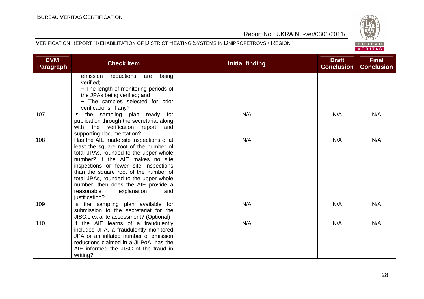

| <b>DVM</b><br><b>Paragraph</b> | <b>Check Item</b>                                                                                                                                                                                                                                                                                                                                                                        | <b>Initial finding</b> | <b>Draft</b><br><b>Conclusion</b> | <b>Final</b><br><b>Conclusion</b> |
|--------------------------------|------------------------------------------------------------------------------------------------------------------------------------------------------------------------------------------------------------------------------------------------------------------------------------------------------------------------------------------------------------------------------------------|------------------------|-----------------------------------|-----------------------------------|
|                                | emission<br>reductions<br>being<br>are<br>verified;<br>- The length of monitoring periods of<br>the JPAs being verified; and<br>- The samples selected for prior<br>verifications, if any?                                                                                                                                                                                               |                        |                                   |                                   |
| 107                            | sampling plan ready<br>for<br>the<br>Is<br>publication through the secretariat along<br>with the verification report<br>and<br>supporting documentation?                                                                                                                                                                                                                                 | N/A                    | N/A                               | N/A                               |
| 108                            | Has the AIE made site inspections of at<br>least the square root of the number of<br>total JPAs, rounded to the upper whole<br>number? If the AIE makes no site<br>inspections or fewer site inspections<br>than the square root of the number of<br>total JPAs, rounded to the upper whole<br>number, then does the AIE provide a<br>reasonable<br>explanation<br>and<br>justification? | N/A                    | N/A                               | N/A                               |
| 109                            | Is the sampling plan available for<br>submission to the secretariat for the<br>JISC.s ex ante assessment? (Optional)                                                                                                                                                                                                                                                                     | N/A                    | N/A                               | N/A                               |
| 110                            | If the AIE learns of a fraudulently<br>included JPA, a fraudulently monitored<br>JPA or an inflated number of emission<br>reductions claimed in a JI PoA, has the<br>AIE informed the JISC of the fraud in<br>writing?                                                                                                                                                                   | N/A                    | N/A                               | N/A                               |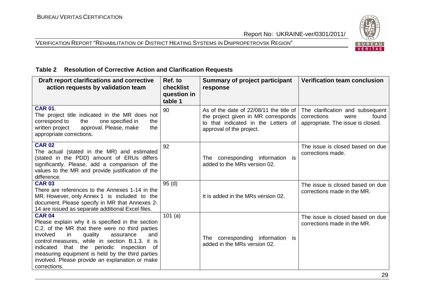## VERIFICATION REPORT "REHABILITATION OF DISTRICT HEATING SYSTEMS IN DNIPROPETROVSK REGION"



#### **Table 2 Resolution of Corrective Action and Clarification Requests**

| Draft report clarifications and corrective<br>action requests by validation team                                                                                                                                                                                                                                                                                                                 | Ref. to<br>checklist<br>question in<br>table 1 | <b>Summary of project participant</b><br>response                                                                                                 | <b>Verification team conclusion</b>                                                                   |
|--------------------------------------------------------------------------------------------------------------------------------------------------------------------------------------------------------------------------------------------------------------------------------------------------------------------------------------------------------------------------------------------------|------------------------------------------------|---------------------------------------------------------------------------------------------------------------------------------------------------|-------------------------------------------------------------------------------------------------------|
| <b>CAR 01.</b><br>The project title indicated in the MR does not<br>correspond to<br>the<br>one specified in<br>the<br>written project<br>approval. Please, make<br>the<br>appropriate corrections.                                                                                                                                                                                              | 90                                             | As of the date of 22/08/11 the title of<br>the project given in MR corresponds<br>to that indicated in the Letters of<br>approval of the project. | The clarification and subsequent<br>corrections<br>found<br>were<br>appropriate. The issue is closed. |
| <b>CAR 02</b><br>The actual (stated in the MR) and estimated<br>(stated in the PDD) amount of ERUs differs<br>significantly. Please, add a comparison of the<br>values to the MR and provide justification of the<br>difference.                                                                                                                                                                 | 92                                             | The corresponding information is<br>added to the MRs version 02.                                                                                  | The issue is closed based on due<br>corrections made.                                                 |
| <b>CAR 03</b><br>There are references to the Annexes 1-14 in the<br>MR. However, only Annex 1 is included to the<br>document. Please specify in MR that Annexes 2-<br>14 are issued as separate additional Excel files.                                                                                                                                                                          | 95(d)                                          | It is added in the MRs version 02.                                                                                                                | The issue is closed based on due<br>corrections made in the MR.                                       |
| <b>CAR 04</b><br>Please explain why it is specified in the section<br>C.2. of the MR that there were no third parties<br>involved<br>in<br>quality<br>assurance<br>and<br>control measures, while in section B.1.3. it is<br>indicated that the periodic inspection<br>of<br>measuring equipment is held by the third parties<br>involved. Please provide an explanation or make<br>corrections. | 101 $(a)$                                      | corresponding information is<br>The<br>added in the MRs version 02.                                                                               | The issue is closed based on due<br>corrections made in the MR.                                       |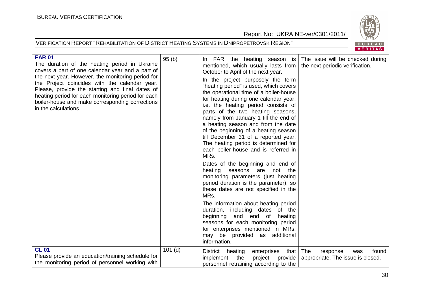

| <b>FAR 01</b><br>The duration of the heating period in Ukraine<br>covers a part of one calendar year and a part of<br>the next year. However, the monitoring period for<br>the Project coincides with the calendar year.<br>Please, provide the starting and final dates of<br>heating period for each monitoring period for each<br>boiler-house and make corresponding corrections<br>in the calculations.<br><b>CL 01</b> | 95(b)     | In FAR the heating season is The issue will be checked during<br>mentioned, which usually lasts from<br>October to April of the next year.<br>In the project purposely the term<br>"heating period" is used, which covers<br>the operational time of a boiler-house<br>for heating during one calendar year,<br>i.e. the heating period consists of<br>parts of the two heating seasons,<br>namely from January 1 till the end of<br>a heating season and from the date<br>of the beginning of a heating season<br>till December 31 of a reported year.<br>The heating period is determined for<br>each boiler-house and is referred in<br>MRs.<br>Dates of the beginning and end of<br>heating seasons are<br>not the<br>monitoring parameters (just heating<br>period duration is the parameter), so<br>these dates are not specified in the<br>MRs.<br>The information about heating period<br>duration, including dates of the<br>beginning<br>and end of<br>heating<br>seasons for each monitoring period<br>for enterprises mentioned in MRs,<br>may be provided as additional<br>information. | the next periodic verification.                               |
|------------------------------------------------------------------------------------------------------------------------------------------------------------------------------------------------------------------------------------------------------------------------------------------------------------------------------------------------------------------------------------------------------------------------------|-----------|------------------------------------------------------------------------------------------------------------------------------------------------------------------------------------------------------------------------------------------------------------------------------------------------------------------------------------------------------------------------------------------------------------------------------------------------------------------------------------------------------------------------------------------------------------------------------------------------------------------------------------------------------------------------------------------------------------------------------------------------------------------------------------------------------------------------------------------------------------------------------------------------------------------------------------------------------------------------------------------------------------------------------------------------------------------------------------------------------|---------------------------------------------------------------|
| Please provide an education/training schedule for<br>the monitoring period of personnel working with                                                                                                                                                                                                                                                                                                                         | $101$ (d) | heating<br>that   The<br><b>District</b><br>enterprises<br>implement<br>the<br>project<br>provide  <br>personnel retraining according to the                                                                                                                                                                                                                                                                                                                                                                                                                                                                                                                                                                                                                                                                                                                                                                                                                                                                                                                                                         | found<br>response<br>was<br>appropriate. The issue is closed. |